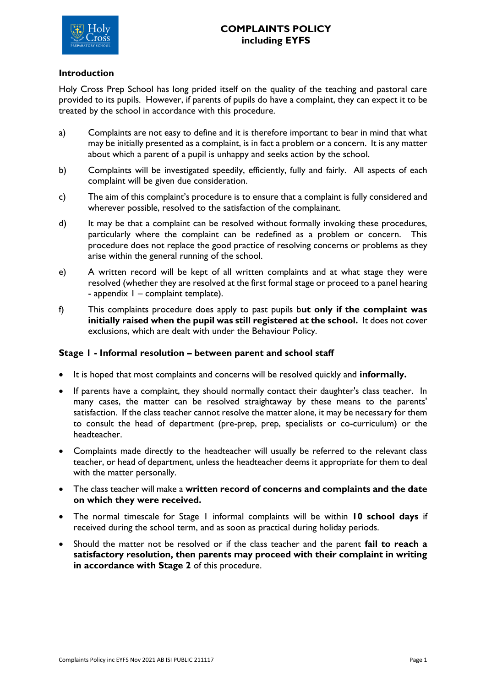

## **Introduction**

Holy Cross Prep School has long prided itself on the quality of the teaching and pastoral care provided to its pupils. However, if parents of pupils do have a complaint, they can expect it to be treated by the school in accordance with this procedure.

- a) Complaints are not easy to define and it is therefore important to bear in mind that what may be initially presented as a complaint, is in fact a problem or a concern. It is any matter about which a parent of a pupil is unhappy and seeks action by the school.
- b) Complaints will be investigated speedily, efficiently, fully and fairly. All aspects of each complaint will be given due consideration.
- c) The aim of this complaint's procedure is to ensure that a complaint is fully considered and wherever possible, resolved to the satisfaction of the complainant.
- d) It may be that a complaint can be resolved without formally invoking these procedures, particularly where the complaint can be redefined as a problem or concern. This procedure does not replace the good practice of resolving concerns or problems as they arise within the general running of the school.
- e) A written record will be kept of all written complaints and at what stage they were resolved (whether they are resolved at the first formal stage or proceed to a panel hearing - appendix 1 – complaint template).
- f) This complaints procedure does apply to past pupils b**ut only if the complaint was initially raised when the pupil was still registered at the school.** It does not cover exclusions, which are dealt with under the Behaviour Policy.

## **Stage 1 - Informal resolution – between parent and school staff**

- It is hoped that most complaints and concerns will be resolved quickly and **informally.**
- If parents have a complaint, they should normally contact their daughter's class teacher. In many cases, the matter can be resolved straightaway by these means to the parents' satisfaction. If the class teacher cannot resolve the matter alone, it may be necessary for them to consult the head of department (pre-prep, prep, specialists or co-curriculum) or the headteacher.
- Complaints made directly to the headteacher will usually be referred to the relevant class teacher, or head of department, unless the headteacher deems it appropriate for them to deal with the matter personally.
- The class teacher will make a **written record of concerns and complaints and the date on which they were received.**
- The normal timescale for Stage 1 informal complaints will be within **10 school days** if received during the school term, and as soon as practical during holiday periods.
- Should the matter not be resolved or if the class teacher and the parent **fail to reach a satisfactory resolution, then parents may proceed with their complaint in writing in accordance with Stage 2** of this procedure.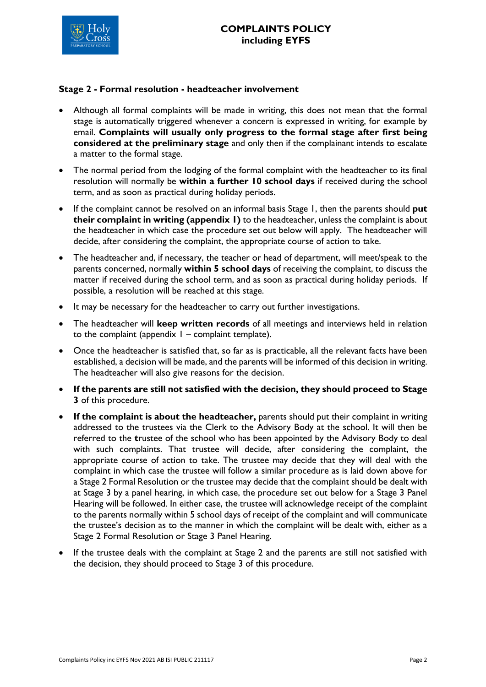

#### **Stage 2 - Formal resolution - headteacher involvement**

- Although all formal complaints will be made in writing, this does not mean that the formal stage is automatically triggered whenever a concern is expressed in writing, for example by email. **Complaints will usually only progress to the formal stage after first being considered at the preliminary stage** and only then if the complainant intends to escalate a matter to the formal stage.
- The normal period from the lodging of the formal complaint with the headteacher to its final resolution will normally be **within a further 10 school days** if received during the school term, and as soon as practical during holiday periods.
- If the complaint cannot be resolved on an informal basis Stage 1, then the parents should **put their complaint in writing (appendix 1)** to the headteacher, unless the complaint is about the headteacher in which case the procedure set out below will apply. The headteacher will decide, after considering the complaint, the appropriate course of action to take.
- The headteacher and, if necessary, the teacher or head of department, will meet/speak to the parents concerned, normally **within 5 school days** of receiving the complaint, to discuss the matter if received during the school term, and as soon as practical during holiday periods. If possible, a resolution will be reached at this stage.
- It may be necessary for the headteacher to carry out further investigations.
- The headteacher will **keep written records** of all meetings and interviews held in relation to the complaint (appendix  $1 -$  complaint template).
- Once the headteacher is satisfied that, so far as is practicable, all the relevant facts have been established, a decision will be made, and the parents will be informed of this decision in writing. The headteacher will also give reasons for the decision.
- **If the parents are still not satisfied with the decision, they should proceed to Stage 3** of this procedure.
- **If the complaint is about the headteacher, parents should put their complaint in writing** addressed to the trustees via the Clerk to the Advisory Body at the school. It will then be referred to the **t**rustee of the school who has been appointed by the Advisory Body to deal with such complaints. That trustee will decide, after considering the complaint, the appropriate course of action to take. The trustee may decide that they will deal with the complaint in which case the trustee will follow a similar procedure as is laid down above for a Stage 2 Formal Resolution or the trustee may decide that the complaint should be dealt with at Stage 3 by a panel hearing, in which case, the procedure set out below for a Stage 3 Panel Hearing will be followed. In either case, the trustee will acknowledge receipt of the complaint to the parents normally within 5 school days of receipt of the complaint and will communicate the trustee's decision as to the manner in which the complaint will be dealt with, either as a Stage 2 Formal Resolution or Stage 3 Panel Hearing.
- If the trustee deals with the complaint at Stage 2 and the parents are still not satisfied with the decision, they should proceed to Stage 3 of this procedure.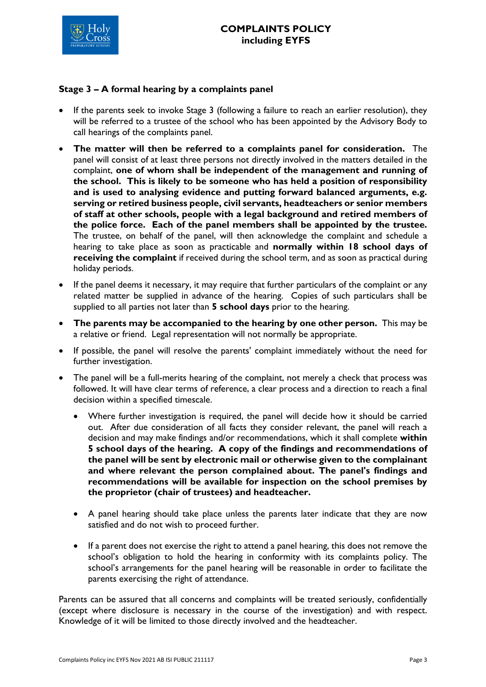

## **Stage 3 – A formal hearing by a complaints panel**

- If the parents seek to invoke Stage 3 (following a failure to reach an earlier resolution), they will be referred to a trustee of the school who has been appointed by the Advisory Body to call hearings of the complaints panel.
- **The matter will then be referred to a complaints panel for consideration.** The panel will consist of at least three persons not directly involved in the matters detailed in the complaint, **one of whom shall be independent of the management and running of the school. This is likely to be someone who has held a position of responsibility and is used to analysing evidence and putting forward balanced arguments, e.g. serving or retired business people, civil servants, headteachers or senior members of staff at other schools, people with a legal background and retired members of the police force. Each of the panel members shall be appointed by the trustee.**  The trustee, on behalf of the panel, will then acknowledge the complaint and schedule a hearing to take place as soon as practicable and **normally within 18 school days of receiving the complaint** if received during the school term, and as soon as practical during holiday periods.
- If the panel deems it necessary, it may require that further particulars of the complaint or any related matter be supplied in advance of the hearing. Copies of such particulars shall be supplied to all parties not later than **5 school days** prior to the hearing.
- **The parents may be accompanied to the hearing by one other person.** This may be a relative or friend. Legal representation will not normally be appropriate.
- If possible, the panel will resolve the parents' complaint immediately without the need for further investigation.
- The panel will be a full-merits hearing of the complaint, not merely a check that process was followed. It will have clear terms of reference, a clear process and a direction to reach a final decision within a specified timescale.
	- Where further investigation is required, the panel will decide how it should be carried out. After due consideration of all facts they consider relevant, the panel will reach a decision and may make findings and/or recommendations, which it shall complete **within 5 school days of the hearing. A copy of the findings and recommendations of the panel will be sent by electronic mail or otherwise given to the complainant and where relevant the person complained about. The panel's findings and recommendations will be available for inspection on the school premises by the proprietor (chair of trustees) and headteacher.**
	- A panel hearing should take place unless the parents later indicate that they are now satisfied and do not wish to proceed further.
	- If a parent does not exercise the right to attend a panel hearing, this does not remove the school's obligation to hold the hearing in conformity with its complaints policy. The school's arrangements for the panel hearing will be reasonable in order to facilitate the parents exercising the right of attendance.

Parents can be assured that all concerns and complaints will be treated seriously, confidentially (except where disclosure is necessary in the course of the investigation) and with respect. Knowledge of it will be limited to those directly involved and the headteacher.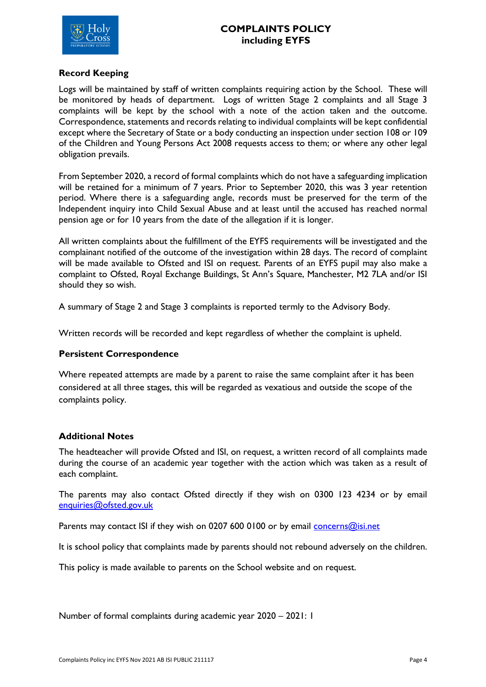

## **Record Keeping**

Logs will be maintained by staff of written complaints requiring action by the School. These will be monitored by heads of department. Logs of written Stage 2 complaints and all Stage 3 complaints will be kept by the school with a note of the action taken and the outcome. Correspondence, statements and records relating to individual complaints will be kept confidential except where the Secretary of State or a body conducting an inspection under section 108 or 109 of the Children and Young Persons Act 2008 requests access to them; or where any other legal obligation prevails.

From September 2020, a record of formal complaints which do not have a safeguarding implication will be retained for a minimum of 7 years. Prior to September 2020, this was 3 year retention period. Where there is a safeguarding angle, records must be preserved for the term of the Independent inquiry into Child Sexual Abuse and at least until the accused has reached normal pension age or for 10 years from the date of the allegation if it is longer.

All written complaints about the fulfillment of the EYFS requirements will be investigated and the complainant notified of the outcome of the investigation within 28 days. The record of complaint will be made available to Ofsted and ISI on request. Parents of an EYFS pupil may also make a complaint to Ofsted, Royal Exchange Buildings, St Ann's Square, Manchester, M2 7LA and/or ISI should they so wish.

A summary of Stage 2 and Stage 3 complaints is reported termly to the Advisory Body.

Written records will be recorded and kept regardless of whether the complaint is upheld.

## **Persistent Correspondence**

Where repeated attempts are made by a parent to raise the same complaint after it has been considered at all three stages, this will be regarded as vexatious and outside the scope of the complaints policy.

## **Additional Notes**

The headteacher will provide Ofsted and ISI, on request, a written record of all complaints made during the course of an academic year together with the action which was taken as a result of each complaint.

The parents may also contact Ofsted directly if they wish on 0300 123 4234 or by email [enquiries@ofsted.gov.uk](mailto:enquiries@ofsted.gov.uk)

Parents may contact ISI if they wish on 0207 600 0100 or by email **concerns@isi.net** 

It is school policy that complaints made by parents should not rebound adversely on the children.

This policy is made available to parents on the School website and on request.

Number of formal complaints during academic year 2020 – 2021: 1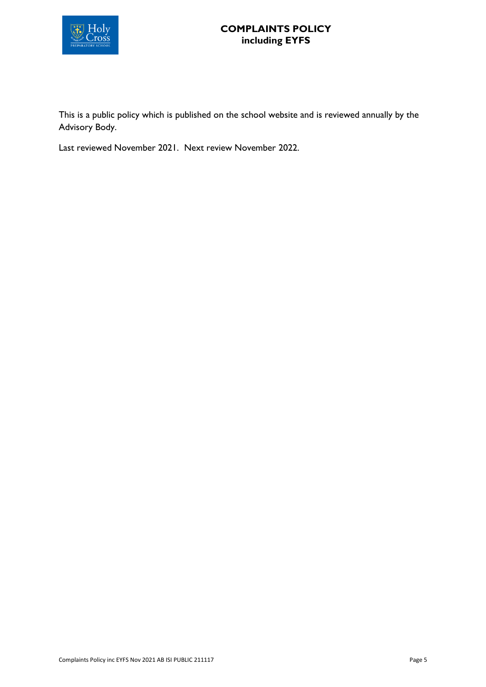

## **COMPLAINTS POLICY including EYFS**

This is a public policy which is published on the school website and is reviewed annually by the Advisory Body.

Last reviewed November 2021. Next review November 2022.